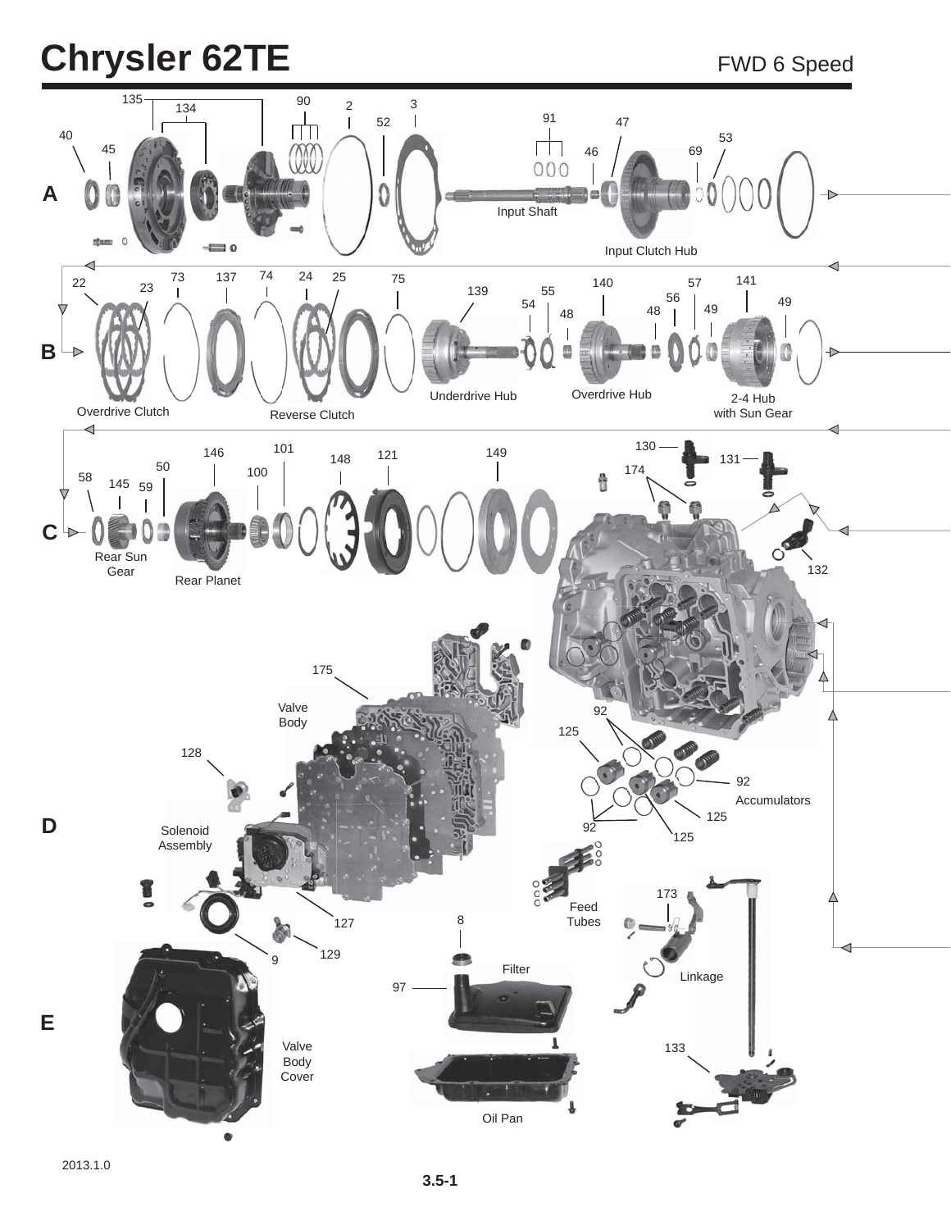## **Chrysler 62TE** FWD 6 Speed

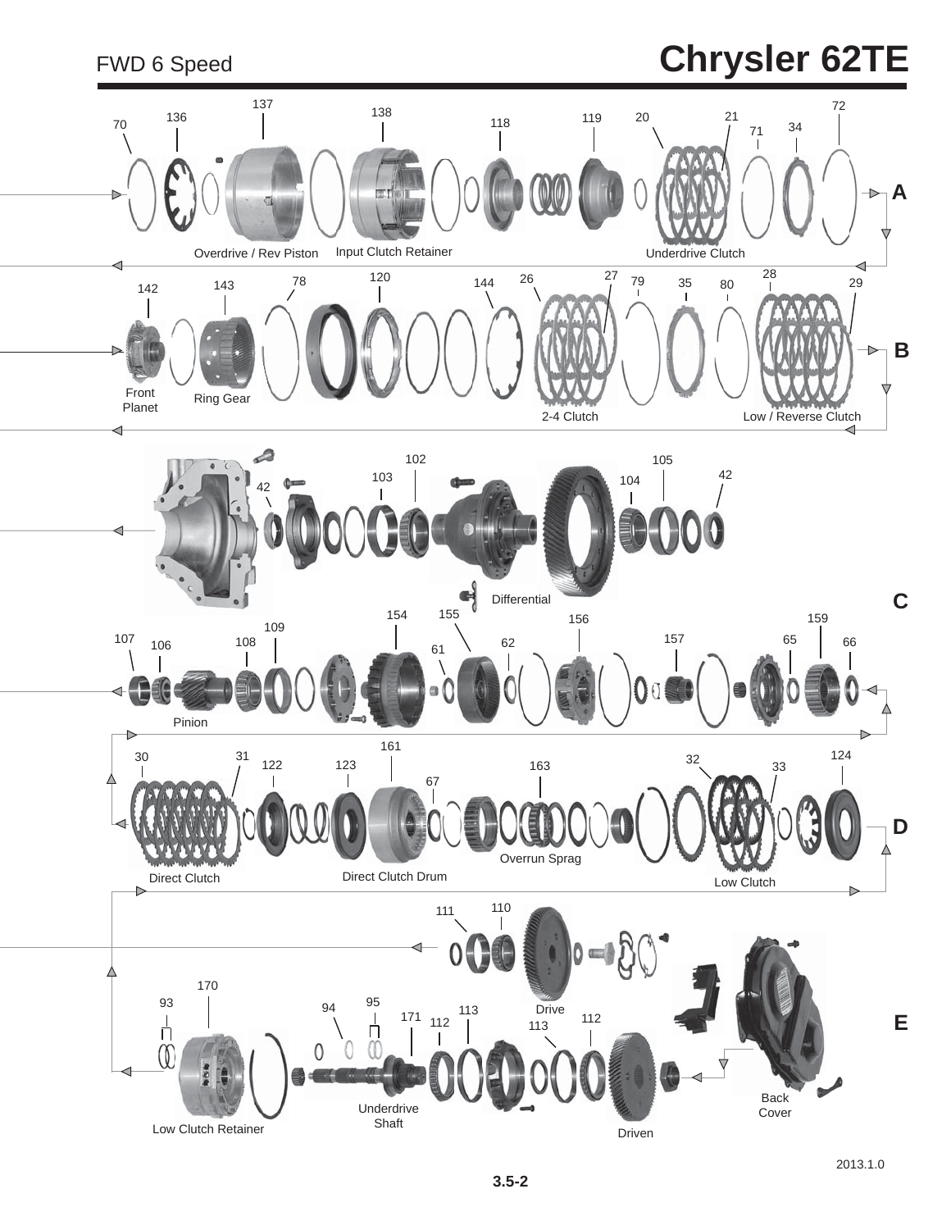### FWD 6 Speed **Chrysler 62TE**

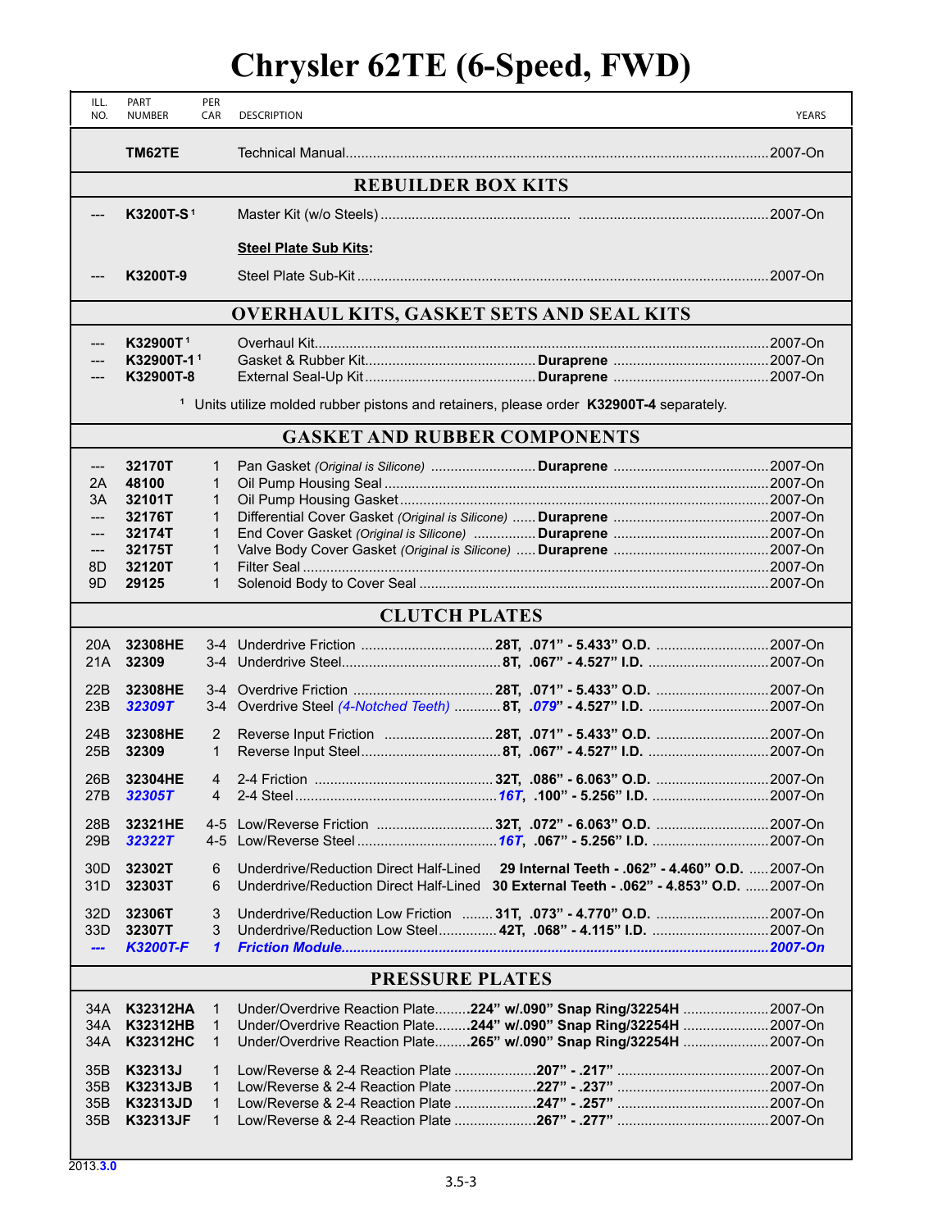#### **Chrysler 62TE (6-Speed, FWD)**

| ILL.<br>NO.     | PART<br><b>NUMBER</b>                                                                                 | PER<br>CAR     | <b>DESCRIPTION</b>                                                                       | <b>YEARS</b> |  |
|-----------------|-------------------------------------------------------------------------------------------------------|----------------|------------------------------------------------------------------------------------------|--------------|--|
|                 | TM62TE                                                                                                |                |                                                                                          |              |  |
|                 |                                                                                                       |                | <b>REBUILDER BOX KITS</b>                                                                |              |  |
|                 | K3200T-S <sup>1</sup>                                                                                 |                |                                                                                          |              |  |
|                 |                                                                                                       |                | <b>Steel Plate Sub Kits:</b>                                                             |              |  |
|                 | K3200T-9                                                                                              |                |                                                                                          |              |  |
|                 |                                                                                                       |                | <b>OVERHAUL KITS, GASKET SETS AND SEAL KITS</b>                                          |              |  |
|                 | K32900T <sup>1</sup>                                                                                  |                |                                                                                          |              |  |
|                 | K32900T-11                                                                                            |                |                                                                                          |              |  |
|                 | K32900T-8                                                                                             |                |                                                                                          |              |  |
|                 | Units utilize molded rubber pistons and retainers, please order K32900T-4 separately.<br>$\mathbf{1}$ |                |                                                                                          |              |  |
|                 |                                                                                                       |                | <b>GASKET AND RUBBER COMPONENTS</b>                                                      |              |  |
| ---             | 32170T                                                                                                | 1              |                                                                                          |              |  |
| 2A              | 48100                                                                                                 | 1              |                                                                                          |              |  |
| 3A              | 32101T                                                                                                | 1              |                                                                                          |              |  |
| ---             | 32176T                                                                                                | $\mathbf{1}$   |                                                                                          |              |  |
| ---             | 32174T                                                                                                | 1              |                                                                                          |              |  |
| ---             | 32175T                                                                                                | 1              |                                                                                          |              |  |
| 8D              | 32120T                                                                                                | $\mathbf 1$    |                                                                                          |              |  |
| 9D              | 29125                                                                                                 | 1              |                                                                                          |              |  |
|                 |                                                                                                       |                | <b>CLUTCH PLATES</b>                                                                     |              |  |
| 20A             | 32308HE                                                                                               |                |                                                                                          |              |  |
| 21A             | 32309                                                                                                 |                |                                                                                          |              |  |
|                 |                                                                                                       |                |                                                                                          |              |  |
| 22B             | 32308HE                                                                                               |                |                                                                                          |              |  |
| 23B             | 32309T                                                                                                |                |                                                                                          |              |  |
|                 |                                                                                                       |                |                                                                                          |              |  |
| 24 <sub>B</sub> | 32308HE                                                                                               | $\overline{2}$ |                                                                                          |              |  |
| 25B             | 32309                                                                                                 | 1              |                                                                                          |              |  |
| 26B             | 32304HE                                                                                               | 4              |                                                                                          |              |  |
| 27B             | 32305T                                                                                                | 4              |                                                                                          |              |  |
|                 |                                                                                                       |                |                                                                                          |              |  |
| 28B             | 32321HE                                                                                               | $4 - 5$        | Low/Reverse Friction  32T, .072" - 6.063" O.D. 2007-On                                   |              |  |
| 29B             | 32322T                                                                                                | $4 - 5$        |                                                                                          |              |  |
| 30 <sub>D</sub> | 32302T                                                                                                | 6              | Underdrive/Reduction Direct Half-Lined 29 Internal Teeth - . 062" - 4.460" O.D.  2007-On |              |  |
| 31D             | 32303T                                                                                                | 6              | Underdrive/Reduction Direct Half-Lined 30 External Teeth - .062" - 4.853" O.D. 2007-On   |              |  |
|                 |                                                                                                       |                |                                                                                          |              |  |
| 32D             | 32306T                                                                                                | 3              | Underdrive/Reduction Low Friction  31T, .073" - 4.770" O.D. 2007-On                      |              |  |
| 33D             | 32307T                                                                                                | 3              |                                                                                          |              |  |
| ---             | <b>K3200T-F</b>                                                                                       | $\mathbf{1}$   |                                                                                          |              |  |
|                 |                                                                                                       |                | <b>PRESSURE PLATES</b>                                                                   |              |  |
|                 |                                                                                                       |                |                                                                                          |              |  |
| 34A             | K32312HA                                                                                              | $\mathbf{1}$   | Under/Overdrive Reaction Plate224" w/.090" Snap Ring/32254H 2007-On                      |              |  |
| 34A             | K32312HB                                                                                              | $\mathbf{1}$   | Under/Overdrive Reaction Plate244" w/.090" Snap Ring/32254H 2007-On                      |              |  |
| 34A             | <b>K32312HC</b>                                                                                       | $\mathbf 1$    | Under/Overdrive Reaction Plate265" w/.090" Snap Ring/32254H 2007-On                      |              |  |
| 35B             | K32313J                                                                                               | 1              |                                                                                          |              |  |
| 35B             | <b>K32313JB</b>                                                                                       | 1              |                                                                                          |              |  |
| 35B             | K32313JD                                                                                              | $\mathbf{1}$   |                                                                                          |              |  |
| 35B             | K32313JF                                                                                              | 1              |                                                                                          |              |  |
|                 |                                                                                                       |                |                                                                                          |              |  |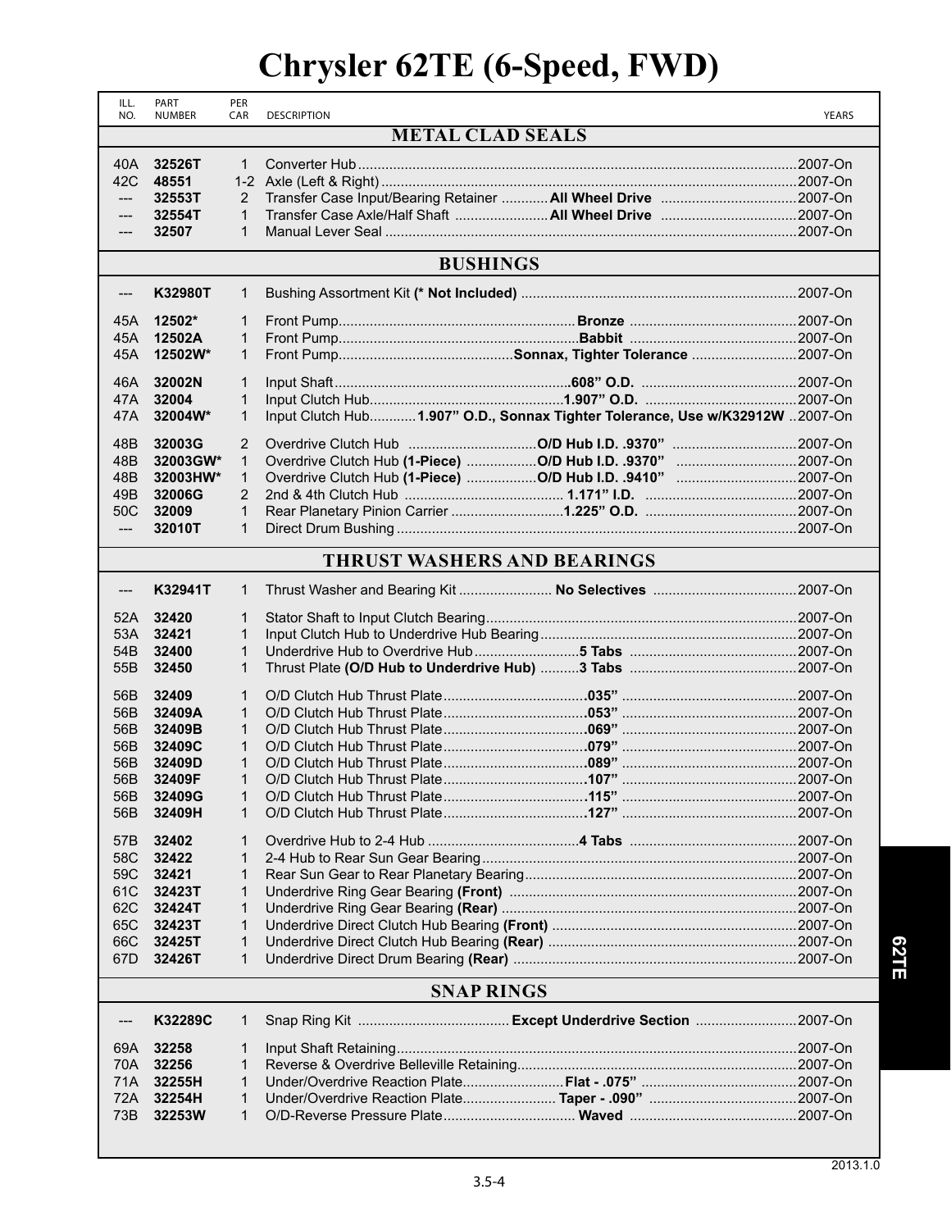# **Chrysler 62TE (6-Speed, FWD)**

| ILL.  | PART<br><b>NUMBER</b> | PER            | <b>DESCRIPTION</b>                                                           |              |  |  |  |
|-------|-----------------------|----------------|------------------------------------------------------------------------------|--------------|--|--|--|
| NO.   |                       | CAR            | <b>METAL CLAD SEALS</b>                                                      | <b>YEARS</b> |  |  |  |
|       |                       |                |                                                                              |              |  |  |  |
| 40A - | 32526T                | $\mathbf{1}$   |                                                                              |              |  |  |  |
| 42C   | 48551                 |                |                                                                              |              |  |  |  |
| $---$ | 32553T                | 2              |                                                                              |              |  |  |  |
| ---   | 32554T                | $\mathbf{1}$   | Transfer Case Axle/Half Shaft  All Wheel Drive 2007-On                       |              |  |  |  |
| ---   | 32507                 | $\mathbf 1$    |                                                                              |              |  |  |  |
|       |                       |                |                                                                              |              |  |  |  |
|       | <b>BUSHINGS</b>       |                |                                                                              |              |  |  |  |
| ---   | K32980T               | 1              |                                                                              |              |  |  |  |
| 45A   | 12502*                | 1              |                                                                              |              |  |  |  |
| 45A   | 12502A                | $\mathbf{1}$   |                                                                              |              |  |  |  |
| 45A   | 12502W*               | $\mathbf{1}$   |                                                                              |              |  |  |  |
|       |                       |                |                                                                              |              |  |  |  |
| 46A   | 32002N                | $\mathbf{1}$   |                                                                              |              |  |  |  |
| 47A   | 32004                 | 1              |                                                                              |              |  |  |  |
| 47A   | 32004W*               | $\mathbf 1$    | Input Clutch Hub1.907" O.D., Sonnax Tighter Tolerance, Use w/K32912W 2007-On |              |  |  |  |
|       |                       |                |                                                                              |              |  |  |  |
| 48B   | 32003G                | 2              |                                                                              |              |  |  |  |
| 48B   | 32003GW*              | $\mathbf{1}$   | Overdrive Clutch Hub (1-Piece) O/D Hub I.D. .9370" 2007-On                   |              |  |  |  |
| 48B   | 32003HW*              | $\mathbf{1}$   |                                                                              |              |  |  |  |
| 49B   | 32006G                | $\overline{2}$ |                                                                              |              |  |  |  |
| 50C   | 32009                 | 1              |                                                                              |              |  |  |  |
| $---$ | 32010T                | $\mathbf 1$    |                                                                              |              |  |  |  |
|       |                       |                | <b>THRUST WASHERS AND BEARINGS</b>                                           |              |  |  |  |
| ---   | K32941T               | 1              |                                                                              |              |  |  |  |
| 52A   | 32420                 | $\mathbf{1}$   |                                                                              |              |  |  |  |
| 53A   | 32421                 | $\mathbf{1}$   |                                                                              |              |  |  |  |
| 54B   | 32400                 | 1              |                                                                              |              |  |  |  |
| 55B   | 32450                 | $\mathbf{1}$   |                                                                              |              |  |  |  |
|       |                       |                |                                                                              |              |  |  |  |
| 56B   | 32409                 | 1              |                                                                              |              |  |  |  |
| 56B   | 32409A                | $\mathbf{1}$   |                                                                              |              |  |  |  |
| 56B   | 32409B                | $\mathbf{1}$   |                                                                              |              |  |  |  |
| 56B   | 32409C                | $\mathbf{1}$   |                                                                              |              |  |  |  |
| 56B   | 32409D                | 1              |                                                                              |              |  |  |  |
| 56B   | 32409F                | $\mathbf{1}$   |                                                                              |              |  |  |  |
| 56B   | 32409G                | 1              |                                                                              |              |  |  |  |
| 56B   | 32409H                | 1              |                                                                              |              |  |  |  |
| 57B   | 32402                 | 1              |                                                                              |              |  |  |  |
| 58C   | 32422                 | 1              |                                                                              |              |  |  |  |
| 59C   | 32421                 | 1              |                                                                              |              |  |  |  |
| 61C   | 32423T                | 1              |                                                                              |              |  |  |  |
| 62C   | 32424T                | 1              |                                                                              |              |  |  |  |
| 65C   | 32423T                | 1              |                                                                              |              |  |  |  |
| 66C   | 32425T                | 1              |                                                                              |              |  |  |  |
| 67D   | 32426T                | 1              |                                                                              |              |  |  |  |
|       |                       |                | <b>SNAP RINGS</b>                                                            |              |  |  |  |
| ---   | K32289C               | 1              |                                                                              |              |  |  |  |
|       |                       |                |                                                                              |              |  |  |  |
| 69A   | 32258                 | 1              |                                                                              |              |  |  |  |
| 70A   | 32256                 | 1              |                                                                              |              |  |  |  |
| 71A   | 32255H                | 1              |                                                                              |              |  |  |  |
| 72A   | 32254H                | 1              |                                                                              |              |  |  |  |
| 73B   | 32253W                | $\mathbf 1$    |                                                                              |              |  |  |  |
|       |                       |                |                                                                              |              |  |  |  |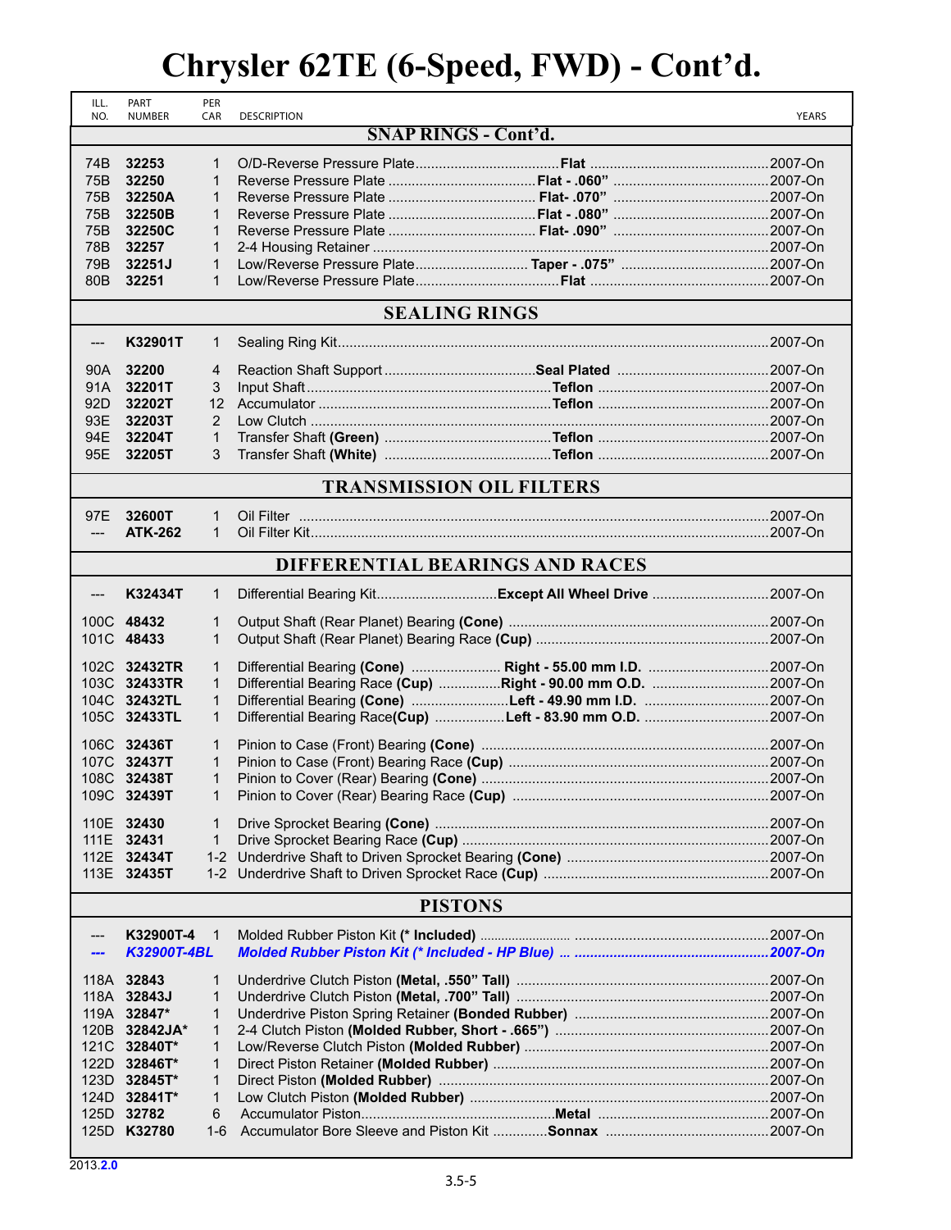#### **Chrysler 62TE (6-Speed, FWD) - Cont'd.**

| ILL.<br>NO.     | PART<br><b>NUMBER</b>    | PER<br>CAR     | <b>DESCRIPTION</b>                                     | <b>YEARS</b> |
|-----------------|--------------------------|----------------|--------------------------------------------------------|--------------|
|                 |                          |                | <b>SNAP RINGS - Cont'd.</b>                            |              |
| 74B             | 32253                    | $\mathbf 1$    |                                                        |              |
| 75B             | 32250                    | $\mathbf{1}$   |                                                        |              |
| 75B             | 32250A                   | 1              |                                                        |              |
| 75B             | 32250B                   | 1              |                                                        |              |
| 75B             | 32250C                   | $\mathbf{1}$   |                                                        |              |
| 78B             | 32257                    | $\mathbf{1}$   |                                                        |              |
| 79B             | 32251J                   | $\mathbf{1}$   |                                                        |              |
| 80 <sub>B</sub> | 32251                    | 1              |                                                        |              |
|                 |                          |                | <b>SEALING RINGS</b>                                   |              |
|                 |                          |                |                                                        |              |
| ---             | K32901T                  | 1              |                                                        |              |
| 90A             | 32200                    | 4              |                                                        |              |
| 91A             | 32201T                   | 3              |                                                        |              |
| 92D             | 32202T                   | 12             |                                                        |              |
| 93E             | 32203T                   | 2              |                                                        |              |
| 94E             | 32204T                   | 1              |                                                        |              |
| 95E             | 32205T                   | 3              |                                                        |              |
|                 |                          |                | <b>TRANSMISSION OIL FILTERS</b>                        |              |
|                 | 32600T                   | 1              |                                                        |              |
| 97E<br>$---$    | <b>ATK-262</b>           | $\mathbf{1}$   |                                                        |              |
|                 |                          |                |                                                        |              |
|                 |                          |                | DIFFERENTIAL BEARINGS AND RACES                        |              |
| $---$           | K32434T                  | 1              | Differential Bearing KitExcept All Wheel Drive 2007-On |              |
|                 | 100C 48432               | $\mathbf{1}$   |                                                        |              |
|                 | 101C 48433               | $\mathbf{1}$   |                                                        |              |
|                 |                          |                |                                                        |              |
|                 | 102C 32432TR             | $\mathbf{1}$   |                                                        |              |
|                 | 103C 32433TR             | $\mathbf{1}$   |                                                        |              |
|                 | 104C 32432TL             | $\mathbf{1}$   |                                                        |              |
|                 | 105C 32433TL             | $\mathbf{1}$   |                                                        |              |
|                 | 106C 32436T              | 1              |                                                        |              |
|                 | 107C 32437T              | $\mathbf{1}$   |                                                        |              |
|                 | 108C 32438T              | $\mathbf{1}$   |                                                        |              |
|                 | 109C 32439T              | 1              |                                                        |              |
|                 | 110E 32430               | 1              |                                                        |              |
|                 | 111E 32431               | 1              |                                                        |              |
|                 | 112E 32434T              | $1 - 2$        |                                                        |              |
|                 | 113E 32435T              |                |                                                        |              |
|                 |                          |                | <b>PISTONS</b>                                         |              |
|                 |                          |                |                                                        |              |
| ---<br>---      | K32900T-4<br>K32900T-4BL | $\overline{1}$ |                                                        |              |
|                 |                          |                |                                                        |              |
|                 | 118A 32843               | 1              |                                                        |              |
|                 | 118A 32843J              | 1              |                                                        |              |
|                 | 119A 32847*              | 1              |                                                        |              |
|                 | 120B 32842JA*            | $\mathbf{1}$   |                                                        |              |
|                 | 121C 32840T*             | 1              |                                                        |              |
|                 | 122D 32846T*             | 1              |                                                        |              |
|                 | 123D 32845T*             | 1              |                                                        |              |
|                 | 124D 32841T*             | 1              |                                                        |              |
|                 | 125D 32782               | 6              |                                                        |              |
|                 | 125D K32780              | 1-6            |                                                        |              |